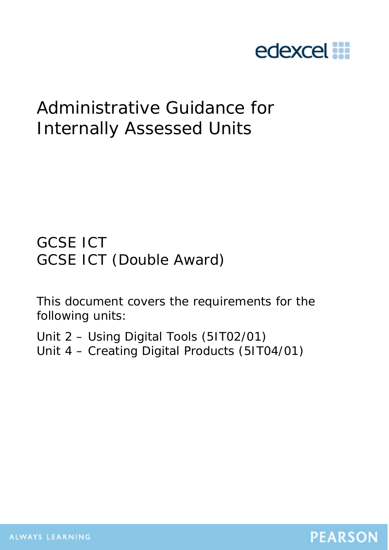

# Administrative Guidance for Internally Assessed Units

GCSE ICT GCSE ICT (Double Award)

This document covers the requirements for the following units:

Unit 2 – Using Digital Tools (5IT02/01) Unit 4 – Creating Digital Products (5IT04/01)

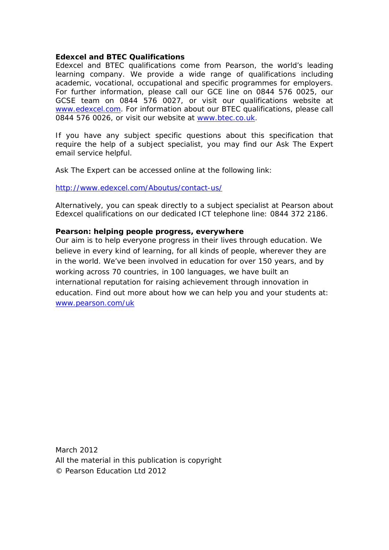#### **Edexcel and BTEC Qualifications**

Edexcel and BTEC qualifications come from Pearson, the world's leading learning company. We provide a wide range of qualifications including academic, vocational, occupational and specific programmes for employers. For further information, please call our GCE line on 0844 576 0025, our GCSE team on 0844 576 0027, or visit our qualifications website at [www.edexcel.com.](http://www.edexcel.com/) For information about our BTEC qualifications, please call 0844 576 0026, or visit our website at [www.btec.co.uk.](http://www.btec.co.uk/)

If you have any subject specific questions about this specification that require the help of a subject specialist, you may find our Ask The Expert email service helpful.

Ask The Expert can be accessed online at the following link:

<http://www.edexcel.com/Aboutus/contact-us/>

Alternatively, you can speak directly to a subject specialist at Pearson about Edexcel qualifications on our dedicated ICT telephone line: 0844 372 2186.

#### **Pearson: helping people progress, everywhere**

Our aim is to help everyone progress in their lives through education. We believe in every kind of learning, for all kinds of people, wherever they are in the world. We've been involved in education for over 150 years, and by working across 70 countries, in 100 languages, we have built an international reputation for raising achievement through innovation in education. Find out more about how we can help you and your students at: [www.pearson.com/uk](http://www.pearson.com/uk)

March 2012 All the material in this publication is copyright © Pearson Education Ltd 2012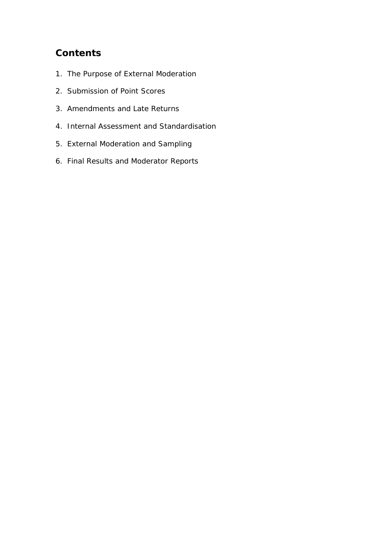## **Contents**

- 1. The Purpose of External Moderation
- 2. Submission of Point Scores
- 3. Amendments and Late Returns
- 4. Internal Assessment and Standardisation
- 5. External Moderation and Sampling
- 6. Final Results and Moderator Reports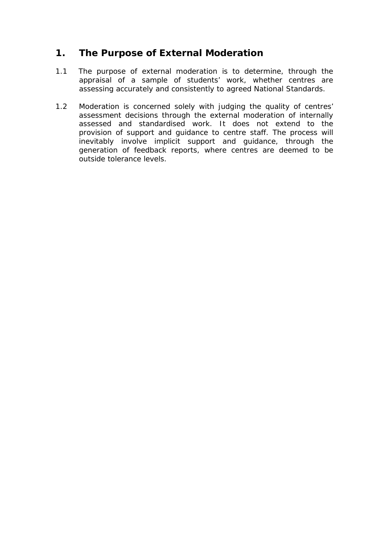## **1. The Purpose of External Moderation**

- 1.1 The purpose of external moderation is to determine, through the appraisal of a sample of students' work, whether centres are assessing accurately and consistently to agreed National Standards.
- 1.2 Moderation is concerned solely with judging the quality of centres' assessment decisions through the external moderation of internally assessed and standardised work. It does not extend to the provision of support and guidance to centre staff. The process will inevitably involve implicit support and guidance, through the generation of feedback reports, where centres are deemed to be outside tolerance levels.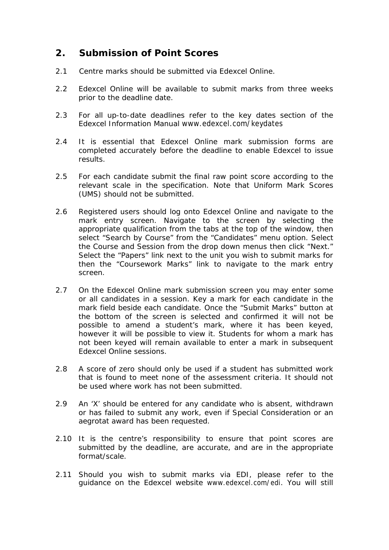## **2. Submission of Point Scores**

- 2.1 Centre marks should be submitted via Edexcel Online.
- 2.2 Edexcel Online will be available to submit marks from three weeks prior to the deadline date.
- 2.3 For all up-to-date deadlines refer to the key dates section of the Edexcel Information Manual [www.edexcel.com/keydates](http://www.edexcel.com/iwantto/Pages/info-manual.aspx)
- 2.4 It is essential that Edexcel Online mark submission forms are completed accurately before the deadline to enable Edexcel to issue results.
- 2.5 For each candidate submit the final raw point score according to the relevant scale in the specification. Note that Uniform Mark Scores (UMS) should not be submitted.
- 2.6 Registered users should log onto Edexcel Online and navigate to the mark entry screen. Navigate to the screen by selecting the appropriate qualification from the tabs at the top of the window, then select "Search by Course" from the "Candidates" menu option. Select the Course and Session from the drop down menus then click "Next." Select the "Papers" link next to the unit you wish to submit marks for then the "Coursework Marks" link to navigate to the mark entry screen.
- 2.7 On the Edexcel Online mark submission screen you may enter some or all candidates in a session. Key a mark for each candidate in the mark field beside each candidate. Once the "Submit Marks" button at the bottom of the screen is selected and confirmed it will not be possible to amend a student's mark, where it has been keyed, however it will be possible to view it. Students for whom a mark has not been keyed will remain available to enter a mark in subsequent Edexcel Online sessions.
- 2.8 A score of zero should only be used if a student has submitted work that is found to meet none of the assessment criteria. It should not be used where work has not been submitted.
- 2.9 An 'X' should be entered for any candidate who is absent, withdrawn or has failed to submit any work, even if Special Consideration or an aegrotat award has been requested.
- 2.10 It is the centre's responsibility to ensure that point scores are submitted by the deadline, are accurate, and are in the appropriate format/scale.
- 2.11 Should you wish to submit marks via EDI, please refer to the guidance on the Edexcel website [www.edexcel.com/edi](http://www.edexcel.com/edi). You will still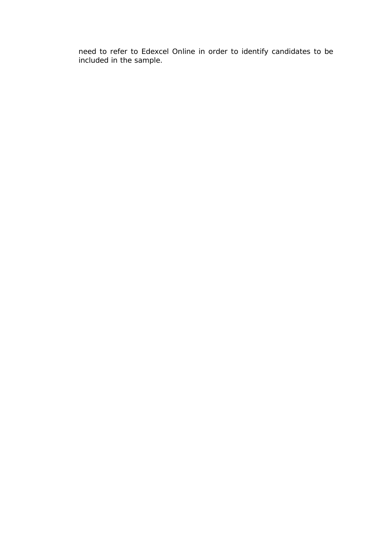need to refer to Edexcel Online in order to identify candidates to be included in the sample.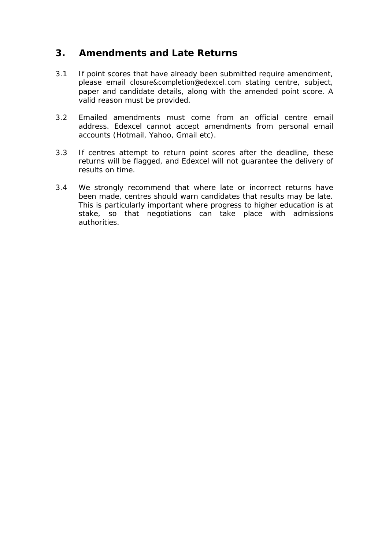#### **3. Amendments and Late Returns**

- 3.1 If point scores that have already been submitted require amendment, please email [closure&completion@edexcel.com](mailto:closure&completion@edexcel.com) stating centre, subject, paper and candidate details, along with the amended point score. A valid reason must be provided.
- 3.2 Emailed amendments must come from an official centre email address. Edexcel cannot accept amendments from personal email accounts (Hotmail, Yahoo, Gmail etc).
- 3.3 If centres attempt to return point scores after the deadline, these returns will be flagged, and Edexcel will not guarantee the delivery of results on time.
- 3.4 We strongly recommend that where late or incorrect returns have been made, centres should warn candidates that results may be late. This is particularly important where progress to higher education is at stake, so that negotiations can take place with admissions authorities.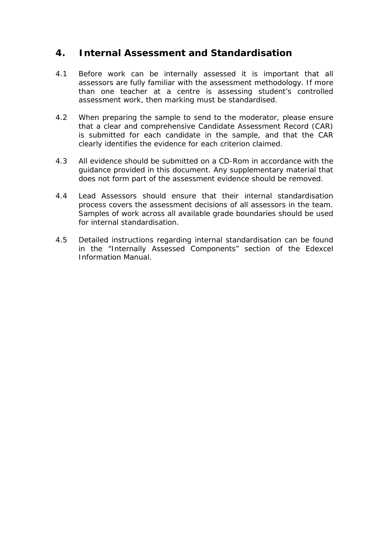#### **4. Internal Assessment and Standardisation**

- 4.1 Before work can be internally assessed it is important that all assessors are fully familiar with the assessment methodology. If more than one teacher at a centre is assessing student's controlled assessment work, then marking must be standardised.
- 4.2 When preparing the sample to send to the moderator, please ensure that a clear and comprehensive Candidate Assessment Record (CAR) is submitted for each candidate in the sample, and that the CAR clearly identifies the evidence for each criterion claimed.
- 4.3 All evidence should be submitted on a CD-Rom in accordance with the guidance provided in this document. Any supplementary material that does not form part of the assessment evidence should be removed.
- 4.4 Lead Assessors should ensure that their internal standardisation process covers the assessment decisions of all assessors in the team. Samples of work across all available grade boundaries should be used for internal standardisation.
- 4.5 Detailed instructions regarding internal standardisation can be found in the "Internally Assessed Components" section of the Edexcel Information Manual.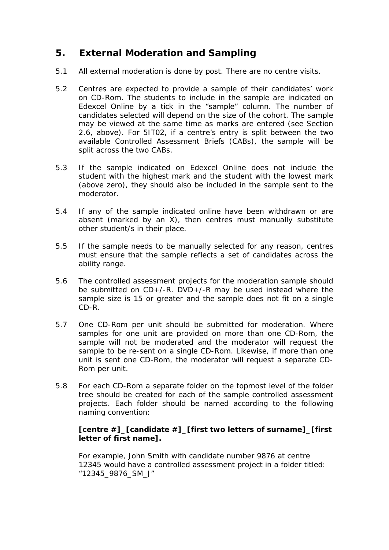## **5. External Moderation and Sampling**

- 5.1 All external moderation is done by post. There are no centre visits.
- 5.2 Centres are expected to provide a sample of their candidates' work on CD-Rom. The students to include in the sample are indicated on Edexcel Online by a tick in the "sample" column. The number of candidates selected will depend on the size of the cohort. The sample may be viewed at the same time as marks are entered (see Section 2.6, above). For 5IT02, if a centre's entry is split between the two available Controlled Assessment Briefs (CABs), the sample will be split across the two CABs.
- 5.3 If the sample indicated on Edexcel Online does not include the student with the highest mark and the student with the lowest mark (above zero), they should also be included in the sample sent to the moderator.
- 5.4 If any of the sample indicated online have been withdrawn or are absent (marked by an X), then centres must manually substitute other student/s in their place.
- 5.5 If the sample needs to be manually selected for any reason, centres must ensure that the sample reflects a set of candidates across the ability range.
- 5.6 The controlled assessment projects for the moderation sample should be submitted on CD+/-R. DVD+/-R may be used instead where the sample size is 15 or greater and the sample does not fit on a single CD-R.
- 5.7 One CD-Rom per unit should be submitted for moderation. Where samples for one unit are provided on more than one CD-Rom, the sample will not be moderated and the moderator will request the sample to be re-sent on a single CD-Rom. Likewise, if more than one unit is sent one CD-Rom, the moderator will request a separate CD-Rom per unit.
- 5.8 For each CD-Rom a separate folder on the topmost level of the folder tree should be created for each of the sample controlled assessment projects. Each folder should be named according to the following naming convention:

#### **[centre #]\_[candidate #]\_[first two letters of surname]\_[first letter of first name].**

For example, John Smith with candidate number 9876 at centre 12345 would have a controlled assessment project in a folder titled: "12345\_9876\_SM\_J"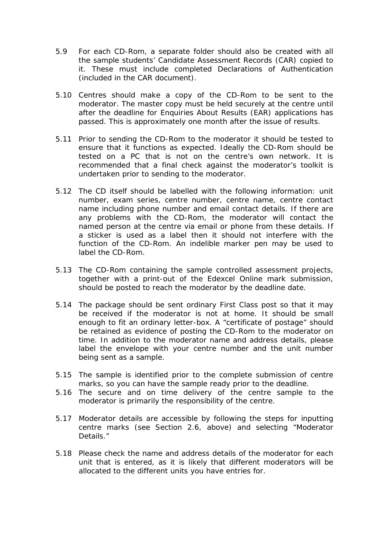- 5.9 For each CD-Rom, a separate folder should also be created with all the sample students' Candidate Assessment Records (CAR) copied to it. These must include completed Declarations of Authentication (included in the CAR document).
- 5.10 Centres should make a copy of the CD-Rom to be sent to the moderator. The master copy must be held securely at the centre until after the deadline for Enquiries About Results (EAR) applications has passed. This is approximately one month after the issue of results.
- 5.11 Prior to sending the CD-Rom to the moderator it should be tested to ensure that it functions as expected. Ideally the CD-Rom should be tested on a PC that is not on the centre's own network. It is recommended that a final check against the moderator's toolkit is undertaken prior to sending to the moderator.
- 5.12 The CD itself should be labelled with the following information: unit number, exam series, centre number, centre name, centre contact name including phone number and email contact details. If there are any problems with the CD-Rom, the moderator will contact the named person at the centre via email or phone from these details. If a sticker is used as a label then it should not interfere with the function of the CD-Rom. An indelible marker pen may be used to label the CD-Rom.
- 5.13 The CD-Rom containing the sample controlled assessment projects, together with a print-out of the Edexcel Online mark submission, should be posted to reach the moderator by the deadline date.
- 5.14 The package should be sent ordinary First Class post so that it may be received if the moderator is not at home. It should be small enough to fit an ordinary letter-box. A "certificate of postage" should be retained as evidence of posting the CD-Rom to the moderator on time. In addition to the moderator name and address details, please label the envelope with your centre number and the unit number being sent as a sample.
- 5.15 The sample is identified prior to the complete submission of centre marks, so you can have the sample ready prior to the deadline.
- 5.16 The secure and on time delivery of the centre sample to the moderator is primarily the responsibility of the centre.
- 5.17 Moderator details are accessible by following the steps for inputting centre marks (see Section 2.6, above) and selecting "Moderator Details."
- 5.18 Please check the name and address details of the moderator for each unit that is entered, as it is likely that different moderators will be allocated to the different units you have entries for.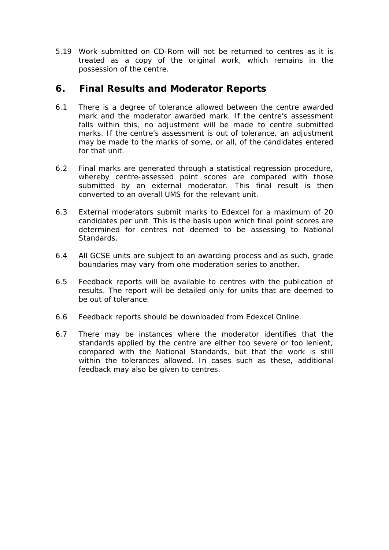5.19 Work submitted on CD-Rom will not be returned to centres as it is treated as a copy of the original work, which remains in the possession of the centre.

## **6. Final Results and Moderator Reports**

- 6.1 There is a degree of tolerance allowed between the centre awarded mark and the moderator awarded mark. If the centre's assessment falls within this, no adjustment will be made to centre submitted marks. If the centre's assessment is out of tolerance, an adjustment may be made to the marks of some, or all, of the candidates entered for that unit.
- 6.2 Final marks are generated through a statistical regression procedure, whereby centre-assessed point scores are compared with those submitted by an external moderator. This final result is then converted to an overall UMS for the relevant unit.
- 6.3 External moderators submit marks to Edexcel for a maximum of 20 candidates per unit. This is the basis upon which final point scores are determined for centres not deemed to be assessing to National Standards.
- 6.4 All GCSE units are subject to an awarding process and as such, grade boundaries may vary from one moderation series to another.
- 6.5 Feedback reports will be available to centres with the publication of results. The report will be detailed only for units that are deemed to be out of tolerance.
- 6.6 Feedback reports should be downloaded from Edexcel Online.
- 6.7 There may be instances where the moderator identifies that the standards applied by the centre are either too severe or too lenient, compared with the National Standards, but that the work is still within the tolerances allowed. In cases such as these, additional feedback may also be given to centres.